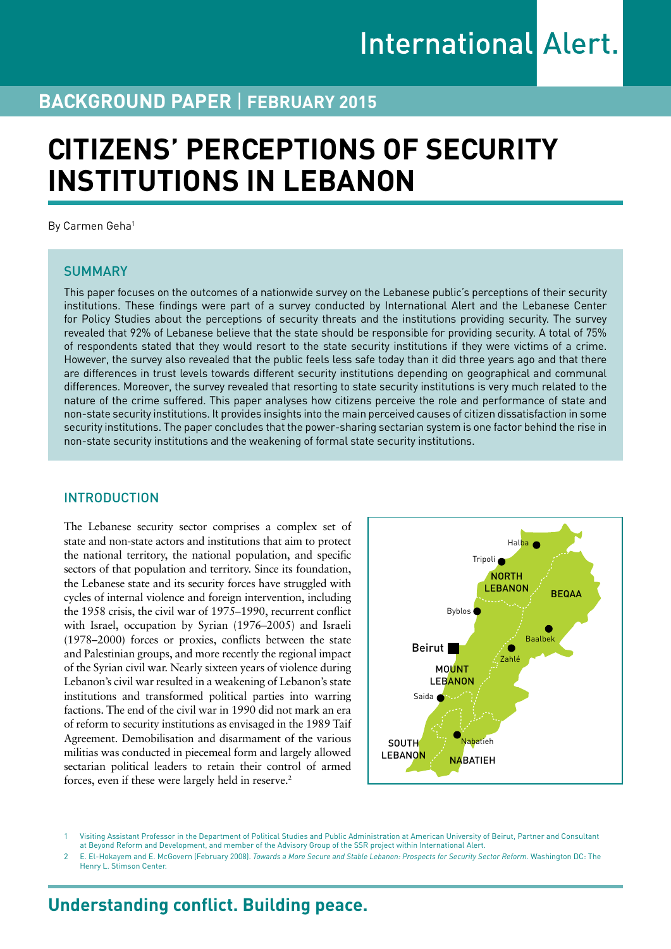# **BACKGROUND PAPER** | **February 2015**

# **CITIZENS' PERCEPTIONS OF SECURITY INSTITUTIONS IN LEBANON**

By Carmen Geha<sup>1</sup>

#### **SUMMARY**

This paper focuses on the outcomes of a nationwide survey on the Lebanese public's perceptions of their security institutions. These findings were part of a survey conducted by International Alert and the Lebanese Center for Policy Studies about the perceptions of security threats and the institutions providing security. The survey revealed that 92% of Lebanese believe that the state should be responsible for providing security. A total of 75% of respondents stated that they would resort to the state security institutions if they were victims of a crime. However, the survey also revealed that the public feels less safe today than it did three years ago and that there are differences in trust levels towards different security institutions depending on geographical and communal differences. Moreover, the survey revealed that resorting to state security institutions is very much related to the nature of the crime suffered. This paper analyses how citizens perceive the role and performance of state and non-state security institutions. It provides insights into the main perceived causes of citizen dissatisfaction in some security institutions. The paper concludes that the power-sharing sectarian system is one factor behind the rise in non-state security institutions and the weakening of formal state security institutions.

#### **INTRODUCTION**

The Lebanese security sector comprises a complex set of state and non-state actors and institutions that aim to protect the national territory, the national population, and specific sectors of that population and territory. Since its foundation, the Lebanese state and its security forces have struggled with cycles of internal violence and foreign intervention, including the 1958 crisis, the civil war of 1975–1990, recurrent conflict with Israel, occupation by Syrian (1976–2005) and Israeli (1978–2000) forces or proxies, conflicts between the state and Palestinian groups, and more recently the regional impact of the Syrian civil war. Nearly sixteen years of violence during Lebanon's civil war resulted in a weakening of Lebanon's state institutions and transformed political parties into warring factions. The end of the civil war in 1990 did not mark an era of reform to security institutions as envisaged in the 1989 Taif Agreement. Demobilisation and disarmament of the various militias was conducted in piecemeal form and largely allowed sectarian political leaders to retain their control of armed forces, even if these were largely held in reserve.2



1 Visiting Assistant Professor in the Department of Political Studies and Public Administration at American University of Beirut, Partner and Consultant at Beyond Reform and Development, and member of the Advisory Group of the SSR project within International Alert.

2 E. El-Hokayem and E. McGovern (February 2008). *Towards a More Secure and Stable Lebanon: Prospects for Security Sector Reform*. Washington DC: The Henry L. Stimson Center.

# **Understanding conflict. Building peace.**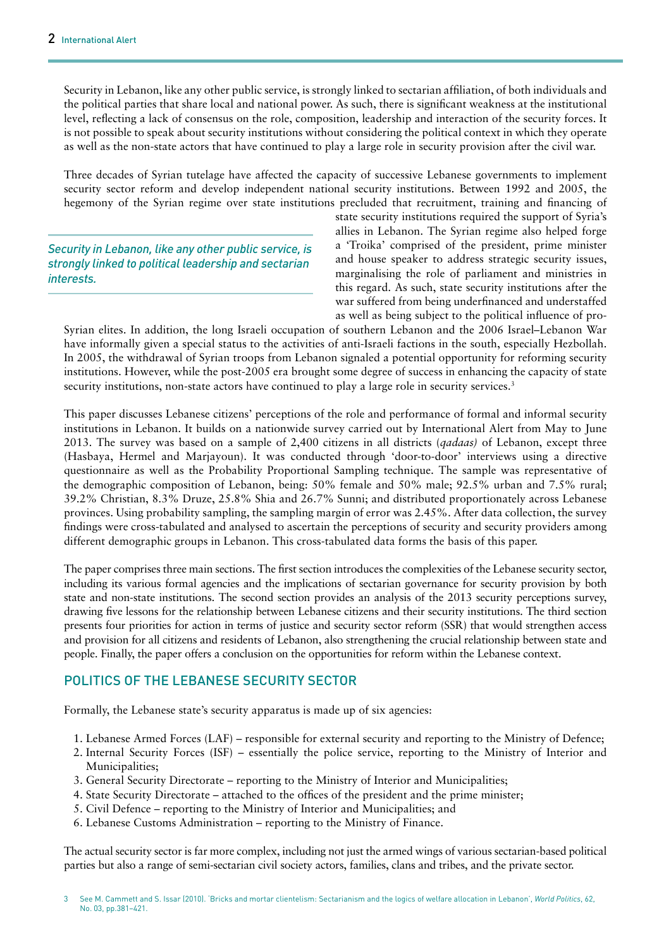Security in Lebanon, like any other public service, is strongly linked to sectarian affiliation, of both individuals and the political parties that share local and national power. As such, there is significant weakness at the institutional level, reflecting a lack of consensus on the role, composition, leadership and interaction of the security forces. It is not possible to speak about security institutions without considering the political context in which they operate as well as the non-state actors that have continued to play a large role in security provision after the civil war.

Three decades of Syrian tutelage have affected the capacity of successive Lebanese governments to implement security sector reform and develop independent national security institutions. Between 1992 and 2005, the hegemony of the Syrian regime over state institutions precluded that recruitment, training and financing of

*Security in Lebanon, like any other public service, is strongly linked to political leadership and sectarian interests.*

state security institutions required the support of Syria's allies in Lebanon. The Syrian regime also helped forge a 'Troika' comprised of the president, prime minister and house speaker to address strategic security issues, marginalising the role of parliament and ministries in this regard. As such, state security institutions after the war suffered from being underfinanced and understaffed as well as being subject to the political influence of pro-

Syrian elites. In addition, the long Israeli occupation of southern Lebanon and the 2006 Israel–Lebanon War have informally given a special status to the activities of anti-Israeli factions in the south, especially Hezbollah. In 2005, the withdrawal of Syrian troops from Lebanon signaled a potential opportunity for reforming security institutions. However, while the post-2005 era brought some degree of success in enhancing the capacity of state security institutions, non-state actors have continued to play a large role in security services.<sup>3</sup>

This paper discusses Lebanese citizens' perceptions of the role and performance of formal and informal security institutions in Lebanon. It builds on a nationwide survey carried out by International Alert from May to June 2013. The survey was based on a sample of 2,400 citizens in all districts (*qadaas)* of Lebanon, except three (Hasbaya, Hermel and Marjayoun). It was conducted through 'door-to-door' interviews using a directive questionnaire as well as the Probability Proportional Sampling technique. The sample was representative of the demographic composition of Lebanon, being: 50% female and 50% male; 92.5% urban and 7.5% rural; 39.2% Christian, 8.3% Druze, 25.8% Shia and 26.7% Sunni; and distributed proportionately across Lebanese provinces. Using probability sampling, the sampling margin of error was 2.45%. After data collection, the survey findings were cross-tabulated and analysed to ascertain the perceptions of security and security providers among different demographic groups in Lebanon. This cross-tabulated data forms the basis of this paper.

The paper comprises three main sections. The first section introduces the complexities of the Lebanese security sector, including its various formal agencies and the implications of sectarian governance for security provision by both state and non-state institutions. The second section provides an analysis of the 2013 security perceptions survey, drawing five lessons for the relationship between Lebanese citizens and their security institutions. The third section presents four priorities for action in terms of justice and security sector reform (SSR) that would strengthen access and provision for all citizens and residents of Lebanon, also strengthening the crucial relationship between state and people. Finally, the paper offers a conclusion on the opportunities for reform within the Lebanese context.

### POLITICS OF THE LEBANESE SECURITY SECTOR

Formally, the Lebanese state's security apparatus is made up of six agencies:

- 1. Lebanese Armed Forces (LAF) responsible for external security and reporting to the Ministry of Defence;
- 2. Internal Security Forces (ISF) essentially the police service, reporting to the Ministry of Interior and Municipalities;
- 3. General Security Directorate reporting to the Ministry of Interior and Municipalities;
- 4. State Security Directorate attached to the offices of the president and the prime minister;
- 5. Civil Defence reporting to the Ministry of Interior and Municipalities; and
- 6. Lebanese Customs Administration reporting to the Ministry of Finance.

The actual security sector is far more complex, including not just the armed wings of various sectarian-based political parties but also a range of semi-sectarian civil society actors, families, clans and tribes, and the private sector.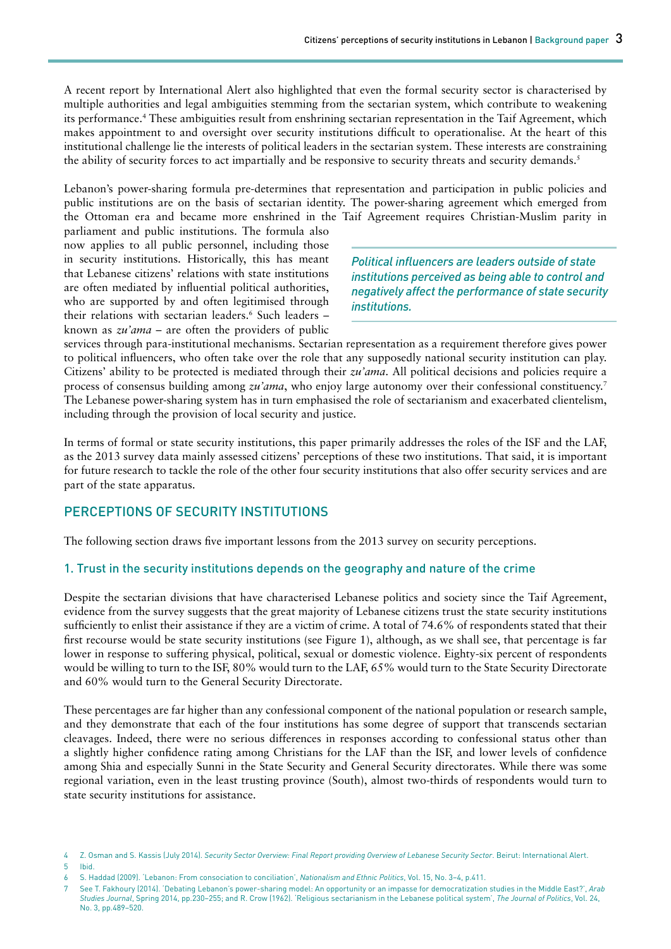A recent report by International Alert also highlighted that even the formal security sector is characterised by multiple authorities and legal ambiguities stemming from the sectarian system, which contribute to weakening its performance.4 These ambiguities result from enshrining sectarian representation in the Taif Agreement, which makes appointment to and oversight over security institutions difficult to operationalise. At the heart of this institutional challenge lie the interests of political leaders in the sectarian system. These interests are constraining the ability of security forces to act impartially and be responsive to security threats and security demands.<sup>5</sup>

Lebanon's power-sharing formula pre-determines that representation and participation in public policies and public institutions are on the basis of sectarian identity. The power-sharing agreement which emerged from the Ottoman era and became more enshrined in the Taif Agreement requires Christian-Muslim parity in

parliament and public institutions. The formula also now applies to all public personnel, including those in security institutions. Historically, this has meant that Lebanese citizens' relations with state institutions are often mediated by influential political authorities, who are supported by and often legitimised through their relations with sectarian leaders.<sup>6</sup> Such leaders known as *zu'ama* – are often the providers of public

*Political influencers are leaders outside of state institutions perceived as being able to control and negatively affect the performance of state security institutions.* 

services through para-institutional mechanisms. Sectarian representation as a requirement therefore gives power to political influencers, who often take over the role that any supposedly national security institution can play. Citizens' ability to be protected is mediated through their *zu'ama*. All political decisions and policies require a process of consensus building among *zu'ama*, who enjoy large autonomy over their confessional constituency.7 The Lebanese power-sharing system has in turn emphasised the role of sectarianism and exacerbated clientelism, including through the provision of local security and justice.

In terms of formal or state security institutions, this paper primarily addresses the roles of the ISF and the LAF, as the 2013 survey data mainly assessed citizens' perceptions of these two institutions. That said, it is important for future research to tackle the role of the other four security institutions that also offer security services and are part of the state apparatus.

# PERCEPTIONS OF SECURITY INSTITUTIONS

The following section draws five important lessons from the 2013 survey on security perceptions.

### 1. Trust in the security institutions depends on the geography and nature of the crime

Despite the sectarian divisions that have characterised Lebanese politics and society since the Taif Agreement, evidence from the survey suggests that the great majority of Lebanese citizens trust the state security institutions sufficiently to enlist their assistance if they are a victim of crime. A total of 74.6% of respondents stated that their first recourse would be state security institutions (see Figure 1), although, as we shall see, that percentage is far lower in response to suffering physical, political, sexual or domestic violence. Eighty-six percent of respondents would be willing to turn to the ISF, 80% would turn to the LAF, 65% would turn to the State Security Directorate and 60% would turn to the General Security Directorate.

These percentages are far higher than any confessional component of the national population or research sample, and they demonstrate that each of the four institutions has some degree of support that transcends sectarian cleavages. Indeed, there were no serious differences in responses according to confessional status other than a slightly higher confidence rating among Christians for the LAF than the ISF, and lower levels of confidence among Shia and especially Sunni in the State Security and General Security directorates. While there was some regional variation, even in the least trusting province (South), almost two-thirds of respondents would turn to state security institutions for assistance.

<sup>4</sup> Z. Osman and S. Kassis (July 2014). *Security Sector Overview: Final Report providing Overview of Lebanese Security Sector*. Beirut: International Alert. 5 Ibid.

<sup>6</sup> S. Haddad (2009). 'Lebanon: From consociation to conciliation', *Nationalism and Ethnic Politics*, Vol. 15, No. 3–4, p.411.

<sup>7</sup> See T. Fakhoury (2014). 'Debating Lebanon's power-sharing model: An opportunity or an impasse for democratization studies in the Middle East?', *Arab Studies Journal*, Spring 2014, pp.230–255; and R. Crow (1962). 'Religious sectarianism in the Lebanese political system', *The Journal of Politics*, Vol. 24, No. 3, pp.489–520.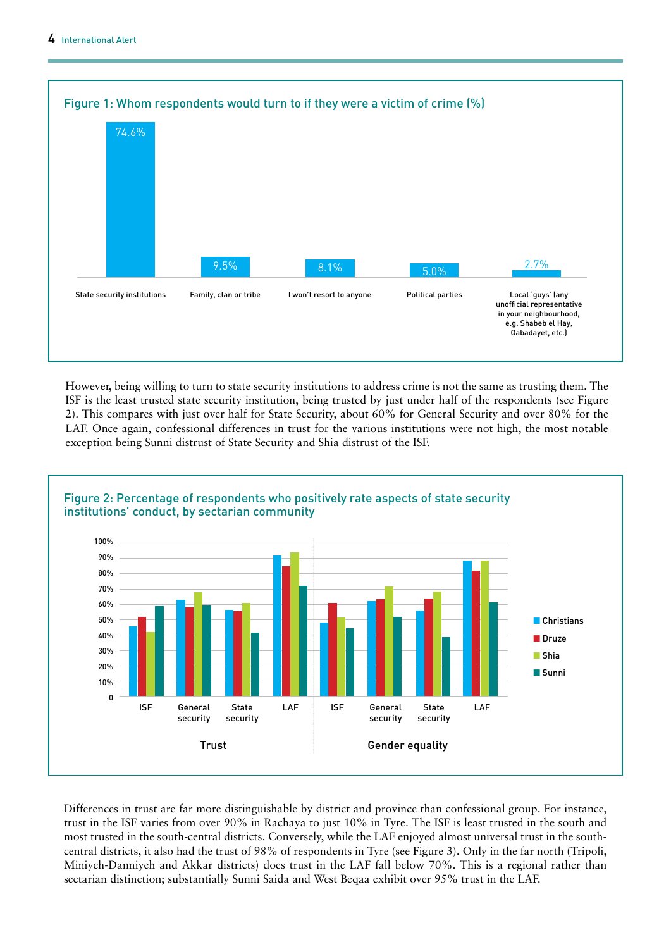

However, being willing to turn to state security institutions to address crime is not the same as trusting them. The ISF is the least trusted state security institution, being trusted by just under half of the respondents (see Figure 2). This compares with just over half for State Security, about 60% for General Security and over 80% for the LAF. Once again, confessional differences in trust for the various institutions were not high, the most notable exception being Sunni distrust of State Security and Shia distrust of the ISF.



#### Differences in trust are far more distinguishable by district and province than confessional group. For instance, trust in the ISF varies from over 90% in Rachaya to just 10% in Tyre. The ISF is least trusted in the south and most trusted in the south-central districts. Conversely, while the LAF enjoyed almost universal trust in the southcentral districts, it also had the trust of 98% of respondents in Tyre (see Figure 3). Only in the far north (Tripoli, Miniyeh-Danniyeh and Akkar districts) does trust in the LAF fall below 70%. This is a regional rather than sectarian distinction; substantially Sunni Saida and West Beqaa exhibit over 95% trust in the LAF.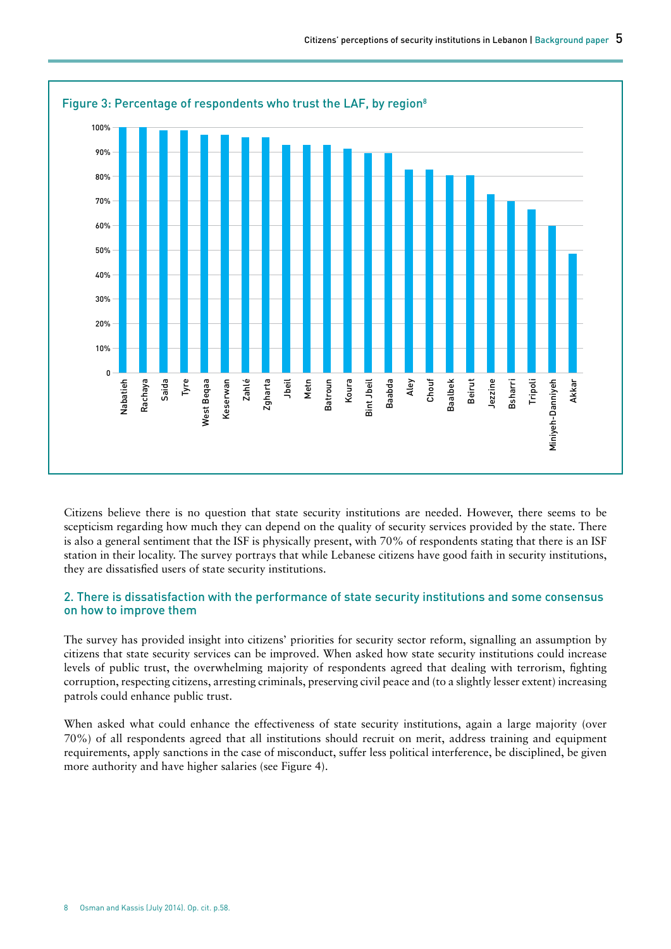

Citizens believe there is no question that state security institutions are needed. However, there seems to be scepticism regarding how much they can depend on the quality of security services provided by the state. There is also a general sentiment that the ISF is physically present, with 70% of respondents stating that there is an ISF station in their locality. The survey portrays that while Lebanese citizens have good faith in security institutions, they are dissatisfied users of state security institutions.

### 2. There is dissatisfaction with the performance of state security institutions and some consensus on how to improve them

The survey has provided insight into citizens' priorities for security sector reform, signalling an assumption by citizens that state security services can be improved. When asked how state security institutions could increase levels of public trust, the overwhelming majority of respondents agreed that dealing with terrorism, fighting corruption, respecting citizens, arresting criminals, preserving civil peace and (to a slightly lesser extent) increasing patrols could enhance public trust.

When asked what could enhance the effectiveness of state security institutions, again a large majority (over 70%) of all respondents agreed that all institutions should recruit on merit, address training and equipment requirements, apply sanctions in the case of misconduct, suffer less political interference, be disciplined, be given more authority and have higher salaries (see Figure 4).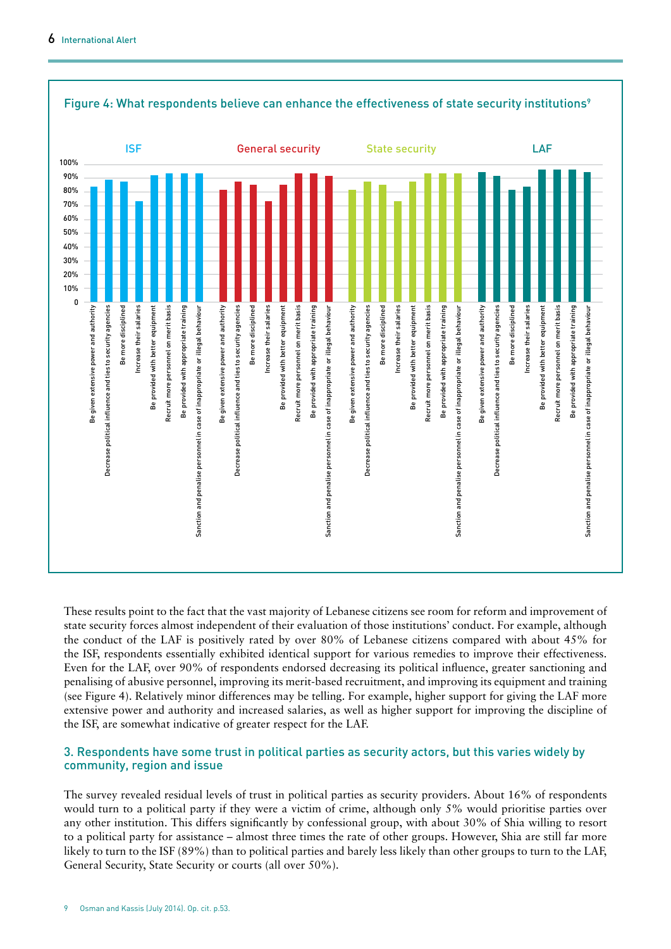

#### Figure 4: What respondents believe can enhance the effectiveness of state security institutions<sup>9</sup>

These results point to the fact that the vast majority of Lebanese citizens see room for reform and improvement of state security forces almost independent of their evaluation of those institutions' conduct. For example, although the conduct of the LAF is positively rated by over 80% of Lebanese citizens compared with about 45% for the ISF, respondents essentially exhibited identical support for various remedies to improve their effectiveness. Even for the LAF, over 90% of respondents endorsed decreasing its political influence, greater sanctioning and penalising of abusive personnel, improving its merit-based recruitment, and improving its equipment and training (see Figure 4). Relatively minor differences may be telling. For example, higher support for giving the LAF more extensive power and authority and increased salaries, as well as higher support for improving the discipline of the ISF, are somewhat indicative of greater respect for the LAF.

#### 3. Respondents have some trust in political parties as security actors, but this varies widely by community, region and issue

The survey revealed residual levels of trust in political parties as security providers. About 16% of respondents would turn to a political party if they were a victim of crime, although only 5% would prioritise parties over any other institution. This differs significantly by confessional group, with about 30% of Shia willing to resort to a political party for assistance – almost three times the rate of other groups. However, Shia are still far more likely to turn to the ISF (89%) than to political parties and barely less likely than other groups to turn to the LAF, General Security, State Security or courts (all over 50%).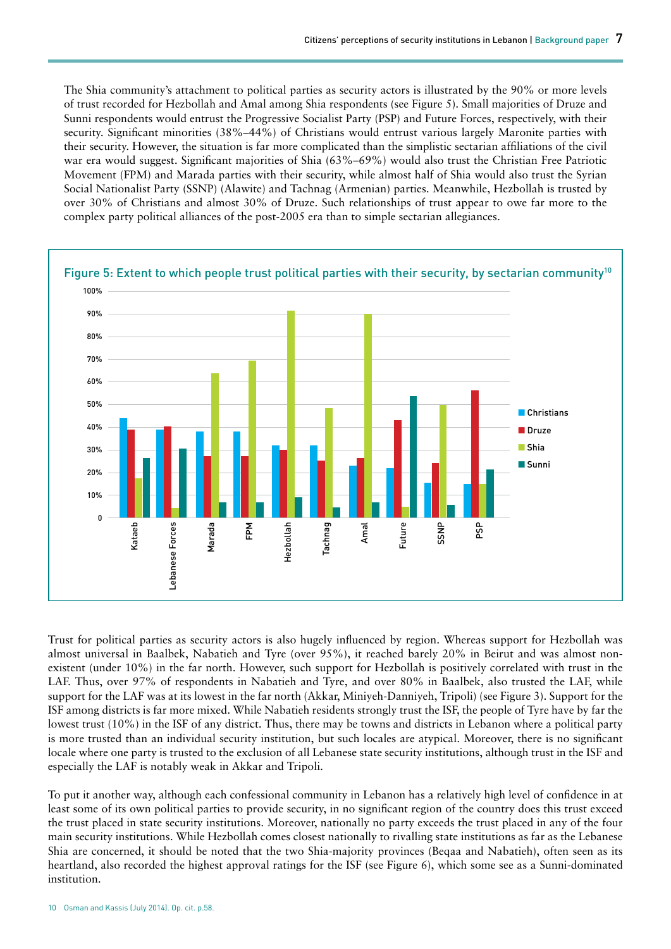The Shia community's attachment to political parties as security actors is illustrated by the 90% or more levels of trust recorded for Hezbollah and Amal among Shia respondents (see Figure 5). Small majorities of Druze and Sunni respondents would entrust the Progressive Socialist Party (PSP) and Future Forces, respectively, with their security. Significant minorities (38%–44%) of Christians would entrust various largely Maronite parties with their security. However, the situation is far more complicated than the simplistic sectarian affiliations of the civil war era would suggest. Significant majorities of Shia (63%–69%) would also trust the Christian Free Patriotic Movement (FPM) and Marada parties with their security, while almost half of Shia would also trust the Syrian Social Nationalist Party (SSNP) (Alawite) and Tachnag (Armenian) parties. Meanwhile, Hezbollah is trusted by over 30% of Christians and almost 30% of Druze. Such relationships of trust appear to owe far more to the complex party political alliances of the post-2005 era than to simple sectarian allegiances.



Trust for political parties as security actors is also hugely influenced by region. Whereas support for Hezbollah was almost universal in Baalbek, Nabatieh and Tyre (over 95%), it reached barely 20% in Beirut and was almost nonexistent (under 10%) in the far north. However, such support for Hezbollah is positively correlated with trust in the LAF. Thus, over 97% of respondents in Nabatieh and Tyre, and over 80% in Baalbek, also trusted the LAF, while support for the LAF was at its lowest in the far north (Akkar, Miniyeh-Danniyeh, Tripoli) (see Figure 3). Support for the ISF among districts is far more mixed. While Nabatieh residents strongly trust the ISF, the people of Tyre have by far the lowest trust (10%) in the ISF of any district. Thus, there may be towns and districts in Lebanon where a political party is more trusted than an individual security institution, but such locales are atypical. Moreover, there is no significant locale where one party is trusted to the exclusion of all Lebanese state security institutions, although trust in the ISF and especially the LAF is notably weak in Akkar and Tripoli.

To put it another way, although each confessional community in Lebanon has a relatively high level of confidence in at least some of its own political parties to provide security, in no significant region of the country does this trust exceed the trust placed in state security institutions. Moreover, nationally no party exceeds the trust placed in any of the four main security institutions. While Hezbollah comes closest nationally to rivalling state institutions as far as the Lebanese Shia are concerned, it should be noted that the two Shia-majority provinces (Beqaa and Nabatieh), often seen as its heartland, also recorded the highest approval ratings for the ISF (see Figure 6), which some see as a Sunni-dominated institution.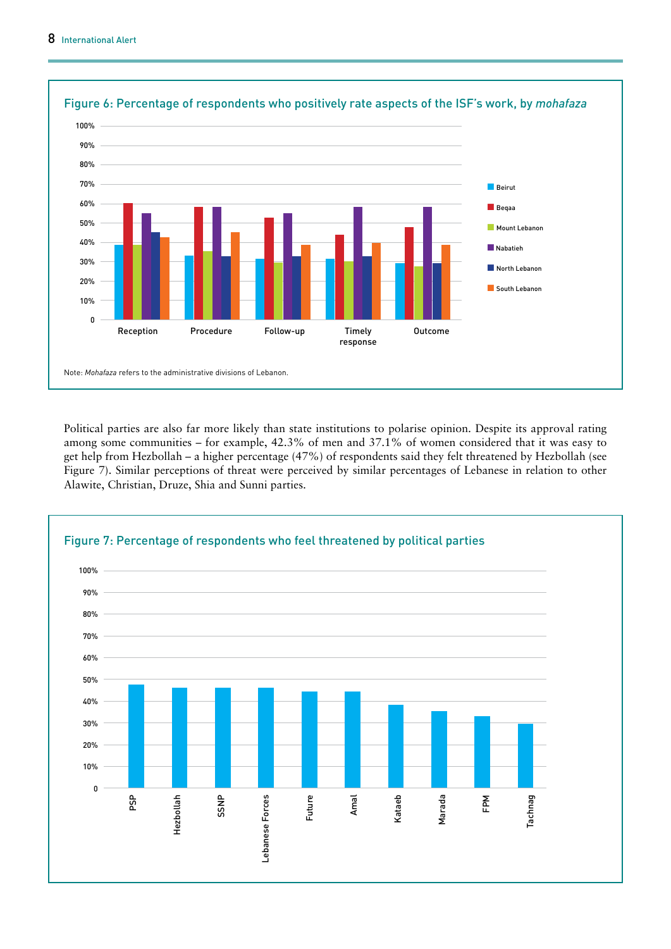

Political parties are also far more likely than state institutions to polarise opinion. Despite its approval rating among some communities – for example, 42.3% of men and 37.1% of women considered that it was easy to get help from Hezbollah – a higher percentage (47%) of respondents said they felt threatened by Hezbollah (see Figure 7). Similar perceptions of threat were perceived by similar percentages of Lebanese in relation to other Alawite, Christian, Druze, Shia and Sunni parties.

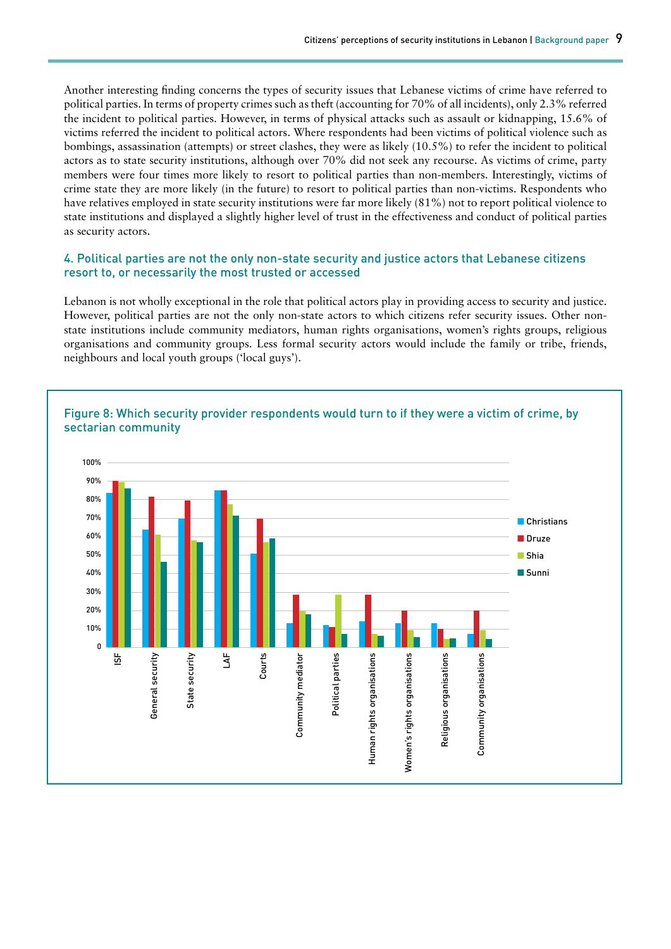Another interesting finding concerns the types of security issues that Lebanese victims of crime have referred to political parties. In terms of property crimes such as theft (accounting for 70% of all incidents), only 2.3% referred the incident to political parties. However, in terms of physical attacks such as assault or kidnapping, 15.6% of victims referred the incident to political actors. Where respondents had been victims of political violence such as bombings, assassination (attempts) or street clashes, they were as likely (10.5%) to refer the incident to political actors as to state security institutions, although over 70% did not seek any recourse. As victims of crime, party members were four times more likely to resort to political parties than non-members. Interestingly, victims of crime state they are more likely (in the future) to resort to political parties than non-victims. Respondents who have relatives employed in state security institutions were far more likely (81%) not to report political violence to state institutions and displayed a slightly higher level of trust in the effectiveness and conduct of political parties as security actors.

#### 4. Political parties are not the only non-state security and justice actors that Lebanese citizens resort to, or necessarily the most trusted or accessed

Lebanon is not wholly exceptional in the role that political actors play in providing access to security and justice. However, political parties are not the only non-state actors to which citizens refer security issues. Other nonstate institutions include community mediators, human rights organisations, women's rights groups, religious organisations and community groups. Less formal security actors would include the family or tribe, friends, neighbours and local youth groups ('local guys').



# Figure 8: Which security provider respondents would turn to if they were a victim of crime, by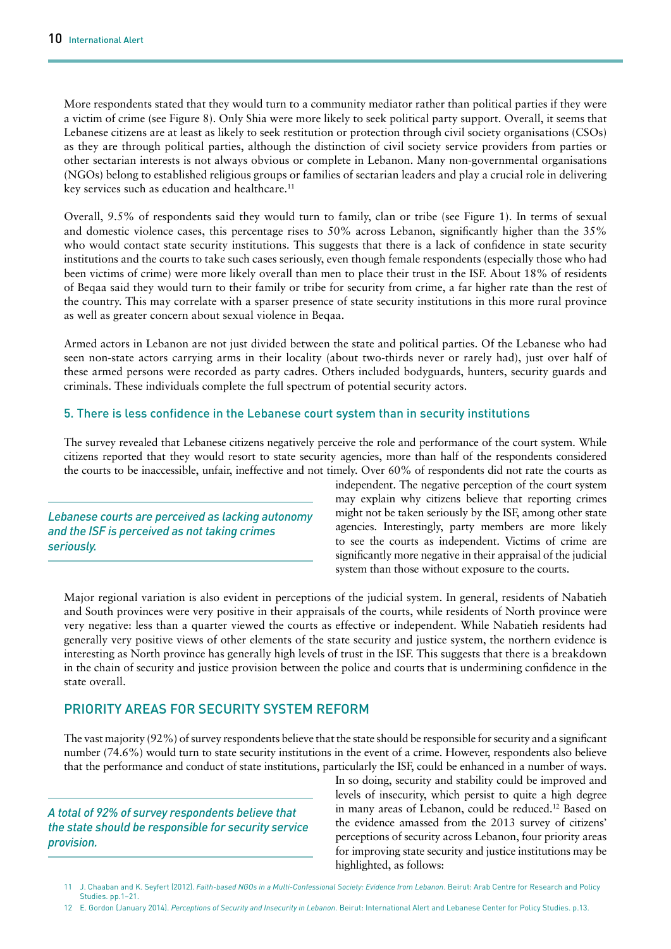More respondents stated that they would turn to a community mediator rather than political parties if they were a victim of crime (see Figure 8). Only Shia were more likely to seek political party support. Overall, it seems that Lebanese citizens are at least as likely to seek restitution or protection through civil society organisations (CSOs) as they are through political parties, although the distinction of civil society service providers from parties or other sectarian interests is not always obvious or complete in Lebanon. Many non-governmental organisations (NGOs) belong to established religious groups or families of sectarian leaders and play a crucial role in delivering key services such as education and healthcare.<sup>11</sup>

Overall, 9.5% of respondents said they would turn to family, clan or tribe (see Figure 1). In terms of sexual and domestic violence cases, this percentage rises to 50% across Lebanon, significantly higher than the 35% who would contact state security institutions. This suggests that there is a lack of confidence in state security institutions and the courts to take such cases seriously, even though female respondents (especially those who had been victims of crime) were more likely overall than men to place their trust in the ISF. About 18% of residents of Beqaa said they would turn to their family or tribe for security from crime, a far higher rate than the rest of the country. This may correlate with a sparser presence of state security institutions in this more rural province as well as greater concern about sexual violence in Beqaa.

Armed actors in Lebanon are not just divided between the state and political parties. Of the Lebanese who had seen non-state actors carrying arms in their locality (about two-thirds never or rarely had), just over half of these armed persons were recorded as party cadres. Others included bodyguards, hunters, security guards and criminals. These individuals complete the full spectrum of potential security actors.

#### 5. There is less confidence in the Lebanese court system than in security institutions

The survey revealed that Lebanese citizens negatively perceive the role and performance of the court system. While citizens reported that they would resort to state security agencies, more than half of the respondents considered the courts to be inaccessible, unfair, ineffective and not timely. Over 60% of respondents did not rate the courts as

*Lebanese courts are perceived as lacking autonomy and the ISF is perceived as not taking crimes seriously.* 

independent. The negative perception of the court system may explain why citizens believe that reporting crimes might not be taken seriously by the ISF, among other state agencies. Interestingly, party members are more likely to see the courts as independent. Victims of crime are significantly more negative in their appraisal of the judicial system than those without exposure to the courts.

Major regional variation is also evident in perceptions of the judicial system. In general, residents of Nabatieh and South provinces were very positive in their appraisals of the courts, while residents of North province were very negative: less than a quarter viewed the courts as effective or independent. While Nabatieh residents had generally very positive views of other elements of the state security and justice system, the northern evidence is interesting as North province has generally high levels of trust in the ISF. This suggests that there is a breakdown in the chain of security and justice provision between the police and courts that is undermining confidence in the state overall.

# PRIORITY AREAS FOR SECURITY SYSTEM REFORM

The vast majority (92%) of survey respondents believe that the state should be responsible for security and a significant number (74.6%) would turn to state security institutions in the event of a crime. However, respondents also believe that the performance and conduct of state institutions, particularly the ISF, could be enhanced in a number of ways.

*A total of 92% of survey respondents believe that the state should be responsible for security service provision.*

In so doing, security and stability could be improved and levels of insecurity, which persist to quite a high degree in many areas of Lebanon, could be reduced.12 Based on the evidence amassed from the 2013 survey of citizens' perceptions of security across Lebanon, four priority areas for improving state security and justice institutions may be highlighted, as follows:

<sup>11</sup> J. Chaaban and K. Seyfert (2012). *Faith-based NGOs in a Multi-Confessional Society: Evidence from Lebanon*. Beirut: Arab Centre for Research and Policy Studies. pp.1–21.

<sup>12</sup> E. Gordon (January 2014). *Perceptions of Security and Insecurity in Lebanon*. Beirut: International Alert and Lebanese Center for Policy Studies. p.13.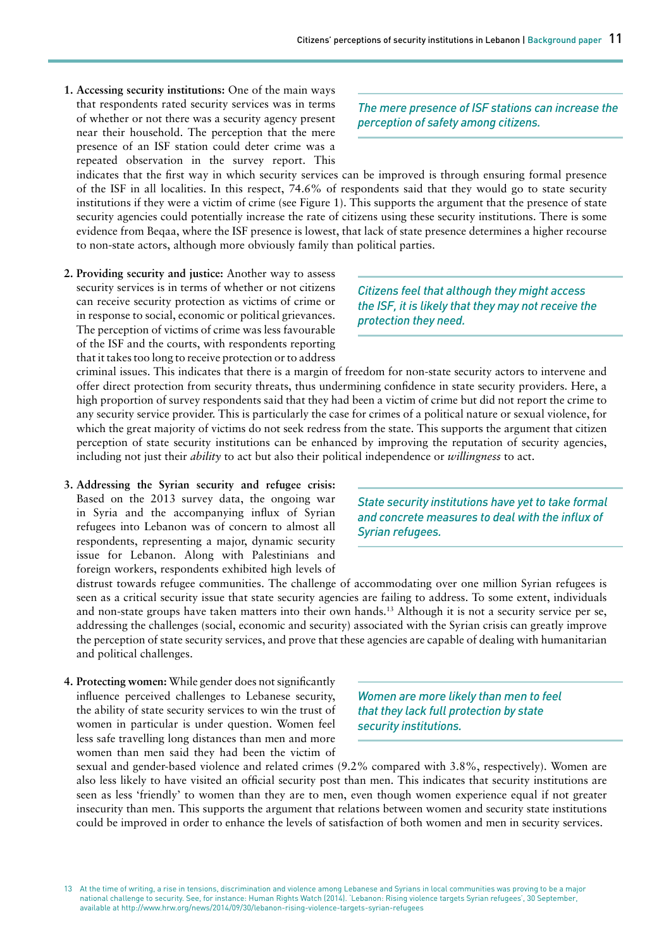**1. Accessing security institutions:** One of the main ways that respondents rated security services was in terms of whether or not there was a security agency present near their household. The perception that the mere presence of an ISF station could deter crime was a repeated observation in the survey report. This

*The mere presence of ISF stations can increase the perception of safety among citizens.*

indicates that the first way in which security services can be improved is through ensuring formal presence of the ISF in all localities. In this respect, 74.6% of respondents said that they would go to state security institutions if they were a victim of crime (see Figure 1). This supports the argument that the presence of state security agencies could potentially increase the rate of citizens using these security institutions. There is some evidence from Beqaa, where the ISF presence is lowest, that lack of state presence determines a higher recourse to non-state actors, although more obviously family than political parties.

**2. Providing security and justice:** Another way to assess security services is in terms of whether or not citizens can receive security protection as victims of crime or in response to social, economic or political grievances. The perception of victims of crime was less favourable of the ISF and the courts, with respondents reporting that it takes too long to receive protection or to address

*Citizens feel that although they might access the ISF, it is likely that they may not receive the protection they need.*

criminal issues. This indicates that there is a margin of freedom for non-state security actors to intervene and offer direct protection from security threats, thus undermining confidence in state security providers. Here, a high proportion of survey respondents said that they had been a victim of crime but did not report the crime to any security service provider. This is particularly the case for crimes of a political nature or sexual violence, for which the great majority of victims do not seek redress from the state. This supports the argument that citizen perception of state security institutions can be enhanced by improving the reputation of security agencies, including not just their *ability* to act but also their political independence or *willingness* to act.

**3. Addressing the Syrian security and refugee crisis:** Based on the 2013 survey data, the ongoing war in Syria and the accompanying influx of Syrian refugees into Lebanon was of concern to almost all respondents, representing a major, dynamic security issue for Lebanon. Along with Palestinians and foreign workers, respondents exhibited high levels of

*State security institutions have yet to take formal and concrete measures to deal with the influx of Syrian refugees.* 

distrust towards refugee communities. The challenge of accommodating over one million Syrian refugees is seen as a critical security issue that state security agencies are failing to address. To some extent, individuals and non-state groups have taken matters into their own hands.<sup>13</sup> Although it is not a security service per se, addressing the challenges (social, economic and security) associated with the Syrian crisis can greatly improve the perception of state security services, and prove that these agencies are capable of dealing with humanitarian and political challenges.

**4. Protecting women:** While gender does not significantly influence perceived challenges to Lebanese security, the ability of state security services to win the trust of women in particular is under question. Women feel less safe travelling long distances than men and more women than men said they had been the victim of

*Women are more likely than men to feel that they lack full protection by state security institutions.* 

sexual and gender-based violence and related crimes (9.2% compared with 3.8%, respectively). Women are also less likely to have visited an official security post than men. This indicates that security institutions are seen as less 'friendly' to women than they are to men, even though women experience equal if not greater insecurity than men. This supports the argument that relations between women and security state institutions could be improved in order to enhance the levels of satisfaction of both women and men in security services.

<sup>13</sup> At the time of writing, a rise in tensions, discrimination and violence among Lebanese and Syrians in local communities was proving to be a major national challenge to security. See, for instance: Human Rights Watch (2014). 'Lebanon: Rising violence targets Syrian refugees', 30 September, available at <http://www.hrw.org/news/2014/09/30/lebanon-rising-violence-targets-syrian-refugees>